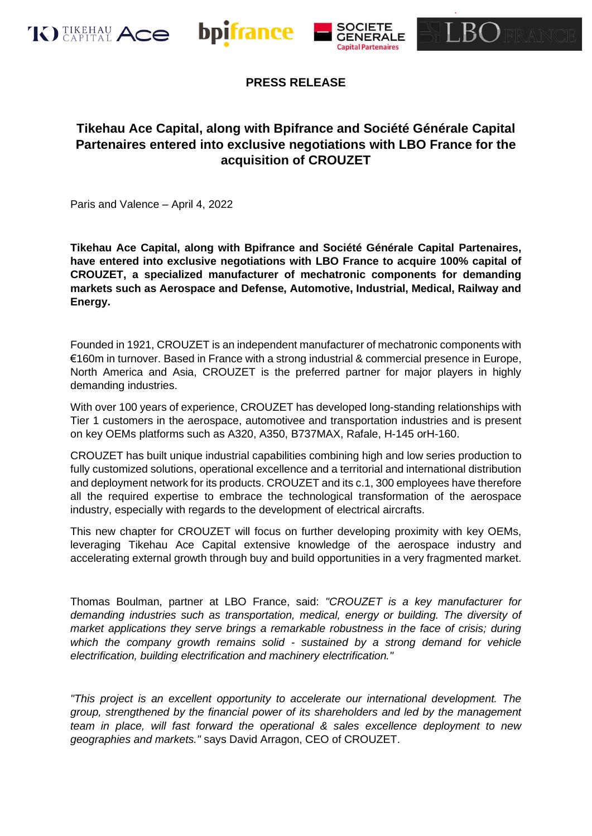





# **Tikehau Ace Capital, along with Bpifrance and Société Générale Capital Partenaires entered into exclusive negotiations with LBO France for the acquisition of CROUZET**

Paris and Valence – April 4, 2022

**Tikehau Ace Capital, along with Bpifrance and Société Générale Capital Partenaires, have entered into exclusive negotiations with LBO France to acquire 100% capital of CROUZET, a specialized manufacturer of mechatronic components for demanding markets such as Aerospace and Defense, Automotive, Industrial, Medical, Railway and Energy.**

Founded in 1921, CROUZET is an independent manufacturer of mechatronic components with €160m in turnover. Based in France with a strong industrial & commercial presence in Europe, North America and Asia, CROUZET is the preferred partner for major players in highly demanding industries.

With over 100 years of experience, CROUZET has developed long-standing relationships with Tier 1 customers in the aerospace, automotivee and transportation industries and is present on key OEMs platforms such as A320, A350, B737MAX, Rafale, H-145 orH-160.

CROUZET has built unique industrial capabilities combining high and low series production to fully customized solutions, operational excellence and a territorial and international distribution and deployment network for its products. CROUZET and its c.1, 300 employees have therefore all the required expertise to embrace the technological transformation of the aerospace industry, especially with regards to the development of electrical aircrafts.

This new chapter for CROUZET will focus on further developing proximity with key OEMs, leveraging Tikehau Ace Capital extensive knowledge of the aerospace industry and accelerating external growth through buy and build opportunities in a very fragmented market.

Thomas Boulman, partner at LBO France, said: *"CROUZET is a key manufacturer for demanding industries such as transportation, medical, energy or building. The diversity of market applications they serve brings a remarkable robustness in the face of crisis; during which the company growth remains solid - sustained by a strong demand for vehicle electrification, building electrification and machinery electrification."*

*"This project is an excellent opportunity to accelerate our international development. The group, strengthened by the financial power of its shareholders and led by the management team in place, will fast forward the operational & sales excellence deployment to new geographies and markets."* says David Arragon, CEO of CROUZET.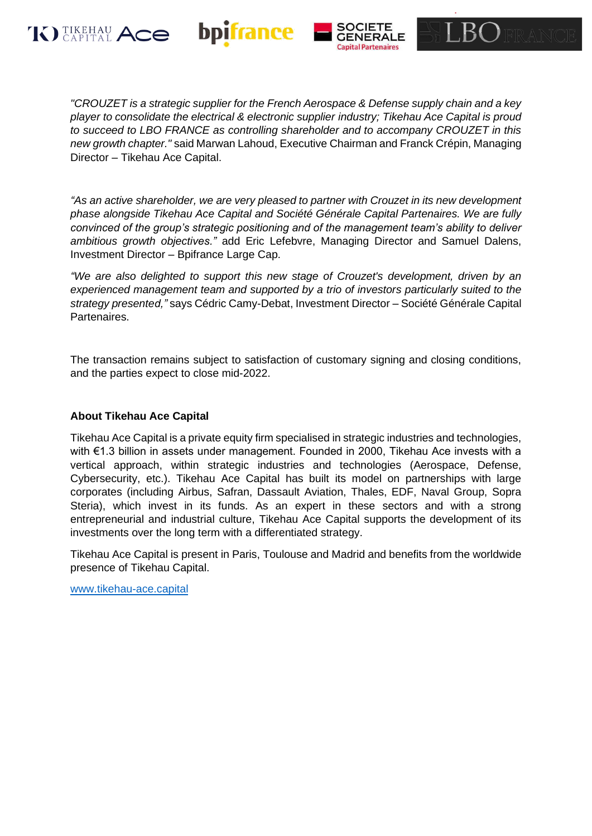





*"CROUZET is a strategic supplier for the French Aerospace & Defense supply chain and a key player to consolidate the electrical & electronic supplier industry; Tikehau Ace Capital is proud to succeed to LBO FRANCE as controlling shareholder and to accompany CROUZET in this new growth chapter."* said Marwan Lahoud, Executive Chairman and Franck Crépin, Managing Director – Tikehau Ace Capital.

*"As an active shareholder, we are very pleased to partner with Crouzet in its new development phase alongside Tikehau Ace Capital and Société Générale Capital Partenaires. We are fully convinced of the group's strategic positioning and of the management team's ability to deliver ambitious growth objectives."* add Eric Lefebvre, Managing Director and Samuel Dalens, Investment Director – Bpifrance Large Cap.

*"We are also delighted to support this new stage of Crouzet's development, driven by an experienced management team and supported by a trio of investors particularly suited to the strategy presented,"* says Cédric Camy-Debat, Investment Director – Société Générale Capital Partenaires.

The transaction remains subject to satisfaction of customary signing and closing conditions, and the parties expect to close mid-2022.

### **About Tikehau Ace Capital**

Tikehau Ace Capital is a private equity firm specialised in strategic industries and technologies, with €1.3 billion in assets under management. Founded in 2000, Tikehau Ace invests with a vertical approach, within strategic industries and technologies (Aerospace, Defense, Cybersecurity, etc.). Tikehau Ace Capital has built its model on partnerships with large corporates (including Airbus, Safran, Dassault Aviation, Thales, EDF, Naval Group, Sopra Steria), which invest in its funds. As an expert in these sectors and with a strong entrepreneurial and industrial culture, Tikehau Ace Capital supports the development of its investments over the long term with a differentiated strategy.

Tikehau Ace Capital is present in Paris, Toulouse and Madrid and benefits from the worldwide presence of Tikehau Capital.

[www.tikehau-ace.capital](http://www.tikehau-ace.capital/)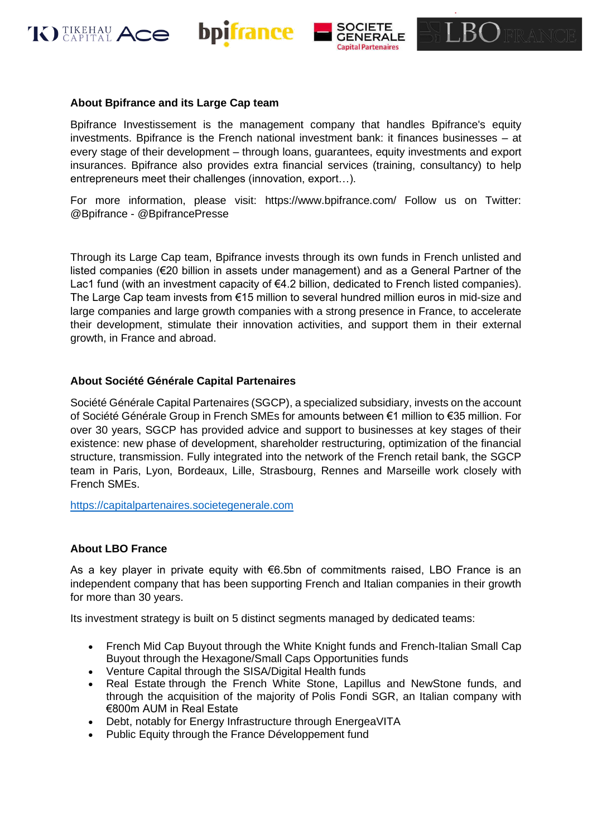





Bpifrance Investissement is the management company that handles Bpifrance's equity investments. Bpifrance is the French national investment bank: it finances businesses – at every stage of their development – through loans, guarantees, equity investments and export insurances. Bpifrance also provides extra financial services (training, consultancy) to help entrepreneurs meet their challenges (innovation, export…).

For more information, please visit: https://www.bpifrance.com/ Follow us on Twitter: @Bpifrance - @BpifrancePresse

Through its Large Cap team, Bpifrance invests through its own funds in French unlisted and listed companies (€20 billion in assets under management) and as a General Partner of the Lac1 fund (with an investment capacity of €4.2 billion, dedicated to French listed companies). The Large Cap team invests from €15 million to several hundred million euros in mid-size and large companies and large growth companies with a strong presence in France, to accelerate their development, stimulate their innovation activities, and support them in their external growth, in France and abroad.

#### **About Société Générale Capital Partenaires**

Société Générale Capital Partenaires (SGCP), a specialized subsidiary, invests on the account of Société Générale Group in French SMEs for amounts between €1 million to €35 million. For over 30 years, SGCP has provided advice and support to businesses at key stages of their existence: new phase of development, shareholder restructuring, optimization of the financial structure, transmission. Fully integrated into the network of the French retail bank, the SGCP team in Paris, Lyon, Bordeaux, Lille, Strasbourg, Rennes and Marseille work closely with French SMEs.

[https://capitalpartenaires.societegenerale.com](https://capitalpartenaires.societegenerale.com/)

#### **About LBO France**

As a key player in private equity with €6.5bn of commitments raised, LBO France is an independent company that has been supporting French and Italian companies in their growth for more than 30 years.

Its investment strategy is built on 5 distinct segments managed by dedicated teams:

- French Mid Cap Buyout through the White Knight funds and French-Italian Small Cap Buyout through the Hexagone/Small Caps Opportunities funds
- Venture Capital through the SISA/Digital Health funds
- Real Estate through the French White Stone, Lapillus and NewStone funds, and through the acquisition of the majority of Polis Fondi SGR, an Italian company with €800m AUM in Real Estate
- Debt, notably for Energy Infrastructure through EnergeaVITA
- Public Equity through the France Développement fund